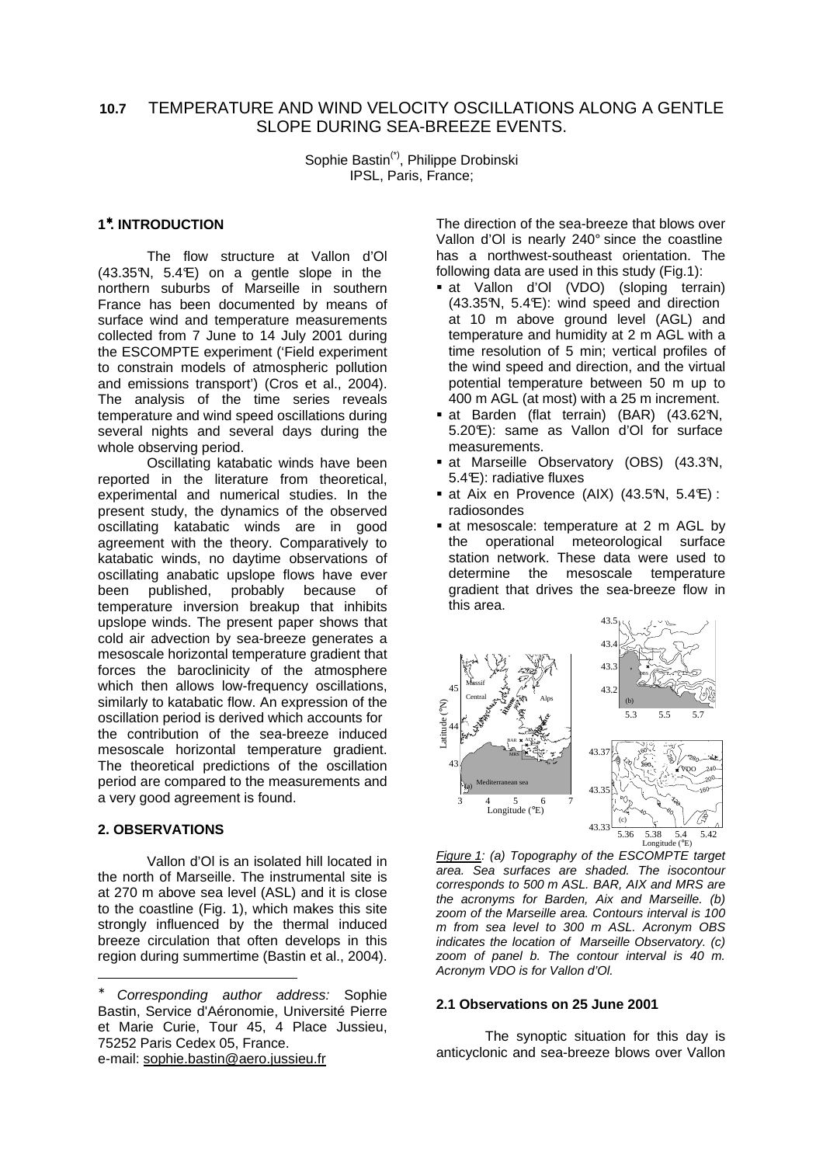# **10.7** TEMPERATURE AND WIND VELOCITY OSCILLATIONS ALONG A GENTLE SLOPE DURING SEA-BREEZE EVENTS.

Sophie Bastin(\*), Philippe Drobinski IPSL, Paris, France;

## **1** <sup>∗</sup>**. INTRODUCTION**

The flow structure at Vallon d'Ol  $(43.35\text{N}, 5.4\text{E})$  on a gentle slope in the northern suburbs of Marseille in southern France has been documented by means of surface wind and temperature measurements collected from 7 June to 14 July 2001 during the ESCOMPTE experiment ('Field experiment to constrain models of atmospheric pollution and emissions transport') (Cros et al., 2004). The analysis of the time series reveals temperature and wind speed oscillations during several nights and several days during the whole observing period.

Oscillating katabatic winds have been reported in the literature from theoretical, experimental and numerical studies. In the present study, the dynamics of the observed oscillating katabatic winds are in good agreement with the theory. Comparatively to katabatic winds, no daytime observations of oscillating anabatic upslope flows have ever been published, probably because of temperature inversion breakup that inhibits upslope winds. The present paper shows that cold air advection by sea-breeze generates a mesoscale horizontal temperature gradient that forces the baroclinicity of the atmosphere which then allows low-frequency oscillations, similarly to katabatic flow. An expression of the oscillation period is derived which accounts for the contribution of the sea-breeze induced mesoscale horizontal temperature gradient. The theoretical predictions of the oscillation period are compared to the measurements and a very good agreement is found.

# **2. OBSERVATIONS**

-

Vallon d'Ol is an isolated hill located in the north of Marseille. The instrumental site is at 270 m above sea level (ASL) and it is close to the coastline (Fig. 1), which makes this site strongly influenced by the thermal induced breeze circulation that often develops in this region during summertime (Bastin et al., 2004).

The direction of the sea-breeze that blows over Vallon d'Ol is nearly 240° since the coastline has a northwest-southeast orientation. The following data are used in this study (Fig.1):

- at Vallon d'Ol (VDO) (sloping terrain)  $(43.35\text{N}, 5.4\text{E})$ : wind speed and direction at 10 m above ground level (AGL) and temperature and humidity at 2 m AGL with a time resolution of 5 min; vertical profiles of the wind speed and direction, and the virtual potential temperature between 50 m up to 400 m AGL (at most) with a 25 m increment.
- at Barden (flat terrain) (BAR) (43.62°N, 5.20°E): same as Vallon d'Ol for surface measurements.
- at Marseille Observatory (OBS) (43.3°N, 5.4°E): radiative fluxes
- at Aix en Provence (AIX) (43.5°N, 5.4°E): radiosondes
- **at mesoscale: temperature at 2 m AGL by** the operational meteorological surface station network. These data were used to determine the mesoscale temperature gradient that drives the sea-breeze flow in this area.



Figure 1: (a) Topography of the ESCOMPTE target area. Sea surfaces are shaded. The isocontour corresponds to 500 m ASL. BAR, AIX and MRS are the acronyms for Barden, Aix and Marseille. (b) zoom of the Marseille area. Contours interval is 100 m from sea level to 300 m ASL. Acronym OBS indicates the location of Marseille Observatory. (c) zoom of panel b. The contour interval is 40 m. Acronym VDO is for Vallon d'Ol.

#### **2.1 Observations on 25 June 2001**

 The synoptic situation for this day is anticyclonic and sea-breeze blows over Vallon

Corresponding author address: Sophie Bastin, Service d'Aéronomie, Université Pierre et Marie Curie, Tour 45, 4 Place Jussieu, 75252 Paris Cedex 05, France. e-mail: sophie.bastin@aero.jussieu.fr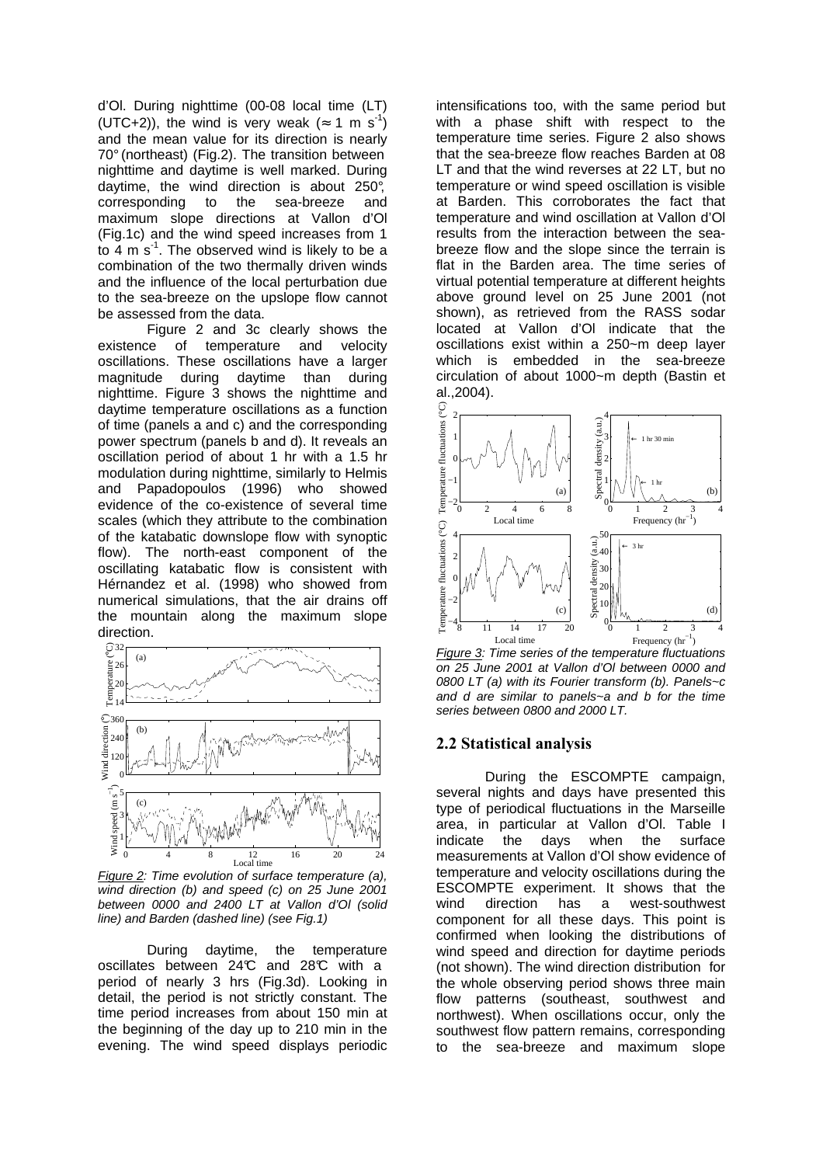d'Ol. During nighttime (00-08 local time (LT) (UTC+2)), the wind is very weak ( $\approx$  1 m s<sup>-1</sup>) and the mean value for its direction is nearly 70° (northeast) (Fig.2). The transition between nighttime and daytime is well marked. During daytime, the wind direction is about 250°, corresponding to the sea-breeze and maximum slope directions at Vallon d'Ol (Fig.1c) and the wind speed increases from 1 to  $4 \text{ m s}^1$ . The observed wind is likely to be a combination of the two thermally driven winds and the influence of the local perturbation due to the sea-breeze on the upslope flow cannot be assessed from the data.

Figure 2 and 3c clearly shows the existence of temperature and velocity oscillations. These oscillations have a larger magnitude during daytime than during nighttime. Figure 3 shows the nighttime and daytime temperature oscillations as a function of time (panels a and c) and the corresponding power spectrum (panels b and d). It reveals an oscillation period of about 1 hr with a 1.5 hr modulation during nighttime, similarly to Helmis and Papadopoulos (1996) who showed evidence of the co-existence of several time scales (which they attribute to the combination of the katabatic downslope flow with synoptic flow). The north-east component of the oscillating katabatic flow is consistent with Hérnandez et al. (1998) who showed from numerical simulations, that the air drains off the mountain along the maximum slope direction.



Figure 2: Time evolution of surface temperature (a), wind direction (b) and speed (c) on 25 June 2001 between 0000 and 2400 LT at Vallon d'Ol (solid line) and Barden (dashed line) (see Fig.1)

During daytime, the temperature oscillates between 24°C and 28°C with a period of nearly 3 hrs (Fig.3d). Looking in detail, the period is not strictly constant. The time period increases from about 150 min at the beginning of the day up to 210 min in the evening. The wind speed displays periodic

intensifications too, with the same period but with a phase shift with respect to the temperature time series. Figure 2 also shows that the sea-breeze flow reaches Barden at 08 LT and that the wind reverses at 22 LT, but no temperature or wind speed oscillation is visible at Barden. This corroborates the fact that temperature and wind oscillation at Vallon d'Ol results from the interaction between the seabreeze flow and the slope since the terrain is flat in the Barden area. The time series of virtual potential temperature at different heights above ground level on 25 June 2001 (not shown), as retrieved from the RASS sodar located at Vallon d'Ol indicate that the oscillations exist within a 250~m deep layer which is embedded in the sea-breeze circulation of about 1000~m depth (Bastin et al.,2004).



Figure 3: Time series of the temperature fluctuations on 25 June 2001 at Vallon d'Ol between 0000 and 0800 LT (a) with its Fourier transform (b). Panels~c and d are similar to panels~a and b for the time series between 0800 and 2000 LT.

# 2.2 Statistical analysis

During the ESCOMPTE campaign, several nights and days have presented this type of periodical fluctuations in the Marseille area, in particular at Vallon d'Ol. Table I indicate the days when the surface measurements at Vallon d'Ol show evidence of temperature and velocity oscillations during the ESCOMPTE experiment. It shows that the wind direction has a west-southwest component for all these days. This point is confirmed when looking the distributions of wind speed and direction for daytime periods (not shown). The wind direction distribution for the whole observing period shows three main flow patterns (southeast, southwest and northwest). When oscillations occur, only the southwest flow pattern remains, corresponding to the sea-breeze and maximum slope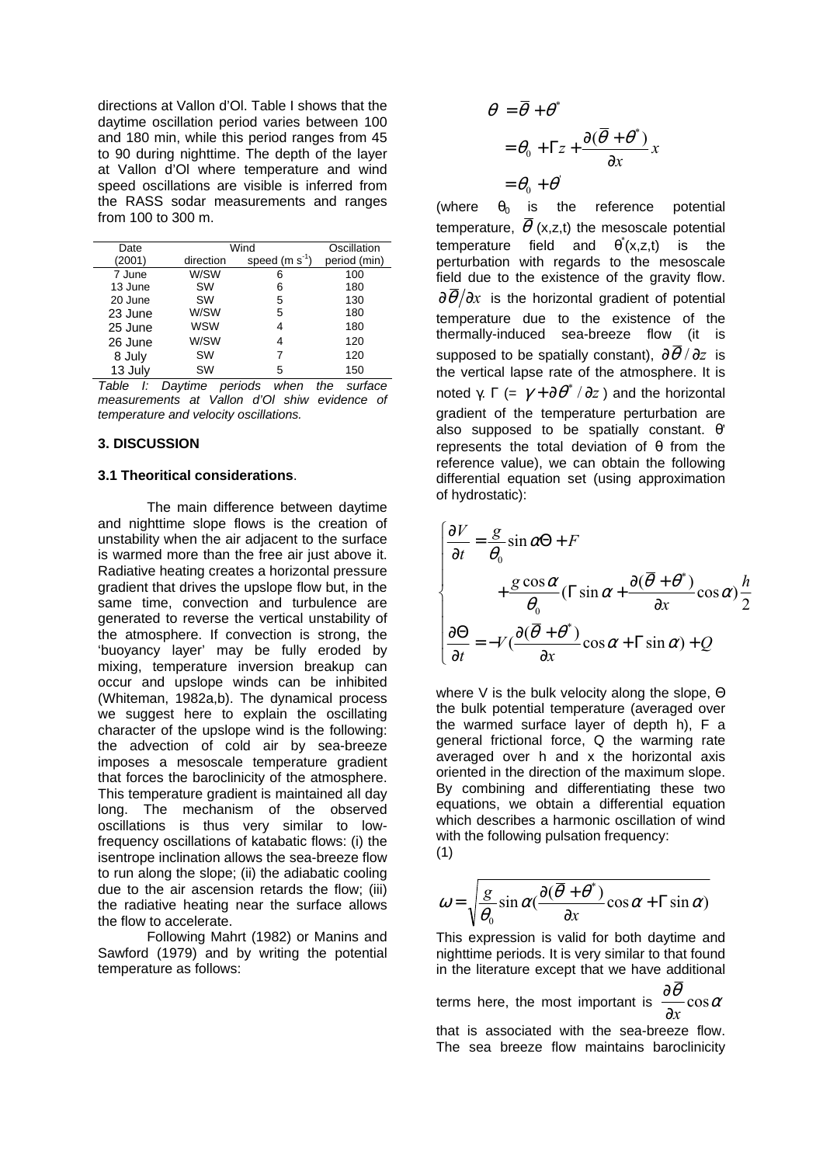directions at Vallon d'Ol. Table I shows that the daytime oscillation period varies between 100 and 180 min, while this period ranges from 45 to 90 during nighttime. The depth of the layer at Vallon d'Ol where temperature and wind speed oscillations are visible is inferred from the RASS sodar measurements and ranges from 100 to 300 m.

| Date    | Wind       |                 | Oscillation  |
|---------|------------|-----------------|--------------|
| (2001)  | direction  | speed $(m s-1)$ | period (min) |
| 7 June  | W/SW       | 6               | 100          |
| 13 June | <b>SW</b>  | 6               | 180          |
| 20 June | <b>SW</b>  | 5               | 130          |
| 23 June | W/SW       | 5               | 180          |
| 25 June | <b>WSW</b> | 4               | 180          |
| 26 June | W/SW       | 4               | 120          |
| 8 July  | <b>SW</b>  | 7               | 120          |
| 13 July | <b>SW</b>  | 5               | 150          |

Table I: Daytime periods when the surface measurements at Vallon d'Ol shiw evidence of temperature and velocity oscillations.

#### **3. DISCUSSION**

#### **3.1 Theoritical considerations**.

The main difference between daytime and nighttime slope flows is the creation of unstability when the air adjacent to the surface is warmed more than the free air just above it. Radiative heating creates a horizontal pressure gradient that drives the upslope flow but, in the same time, convection and turbulence are generated to reverse the vertical unstability of the atmosphere. If convection is strong, the 'buoyancy layer' may be fully eroded by mixing, temperature inversion breakup can occur and upslope winds can be inhibited (Whiteman, 1982a,b). The dynamical process we suggest here to explain the oscillating character of the upslope wind is the following: the advection of cold air by sea-breeze imposes a mesoscale temperature gradient that forces the baroclinicity of the atmosphere. This temperature gradient is maintained all day long. The mechanism of the observed oscillations is thus very similar to lowfrequency oscillations of katabatic flows: (i) the isentrope inclination allows the sea-breeze flow to run along the slope; (ii) the adiabatic cooling due to the air ascension retards the flow; (iii) the radiative heating near the surface allows the flow to accelerate.

Following Mahrt (1982) or Manins and Sawford (1979) and by writing the potential temperature as follows:

$$
\theta = \overline{\theta} + \theta^*
$$
  
=  $\theta_0 + \Gamma z + \frac{\partial(\overline{\theta} + \theta^*)}{\partial x}x$   
=  $\theta_0 + \theta^*$ 

(where  $\theta_0$  is the reference potential temperature,  $\overline{\theta}$  (x,z,t) the mesoscale potential temperature field and  $\theta^{*}(x,z,t)$  is the perturbation with regards to the mesoscale field due to the existence of the gravity flow.  $\partial \overline{\theta}/\partial x$  is the horizontal gradient of potential temperature due to the existence of the thermally-induced sea-breeze flow (it is supposed to be spatially constant),  $\partial \theta / \partial z$  is the vertical lapse rate of the atmosphere. It is noted γ. Γ (=  $\gamma + \partial \theta^* / \partial z$ ) and the horizontal gradient of the temperature perturbation are also supposed to be spatially constant. θ' represents the total deviation of  $\theta$  from the reference value), we can obtain the following differential equation set (using approximation of hydrostatic):

$$
\begin{cases}\n\frac{\partial V}{\partial t} = \frac{g}{\theta_0} \sin \alpha \Theta + F \\
+ \frac{g \cos \alpha}{\theta_0} (\Gamma \sin \alpha + \frac{\partial (\overline{\theta} + \theta^*)}{\partial x} \cos \alpha) \frac{h}{2} \\
\frac{\partial \Theta}{\partial t} = -V(\frac{\partial (\overline{\theta} + \theta^*)}{\partial x} \cos \alpha + \Gamma \sin \alpha) + Q\n\end{cases}
$$

where V is the bulk velocity along the slope, Θ the bulk potential temperature (averaged over the warmed surface layer of depth h), F a general frictional force, Q the warming rate averaged over h and x the horizontal axis oriented in the direction of the maximum slope. By combining and differentiating these two equations, we obtain a differential equation which describes a harmonic oscillation of wind with the following pulsation frequency: (1)

$$
\omega = \sqrt{\frac{g}{\theta_0} \sin \alpha (\frac{\partial (\overline{\theta} + \theta^*)}{\partial x} \cos \alpha + \Gamma \sin \alpha)}
$$

This expression is valid for both daytime and nighttime periods. It is very similar to that found in the literature except that we have additional

terms here, the most important is 
$$
\frac{\partial \theta}{\partial x} \cos \alpha
$$

that is associated with the sea-breeze flow. The sea breeze flow maintains baroclinicity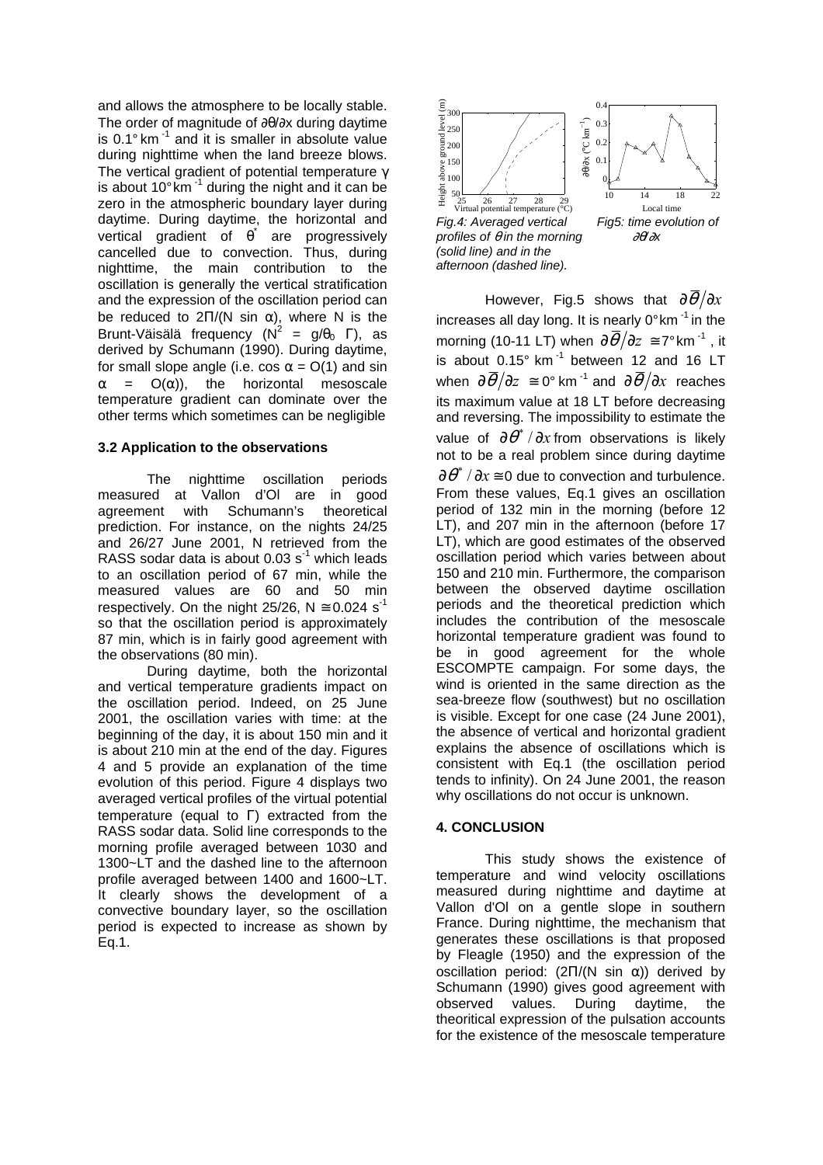and allows the atmosphere to be locally stable. The order of magnitude of ∂θ/∂x during daytime is 0.1° km<sup>-1</sup> and it is smaller in absolute value during nighttime when the land breeze blows. The vertical gradient of potential temperature  $\gamma$ is about  $10^{\circ}$  km<sup>-1</sup> during the night and it can be zero in the atmospheric boundary layer during daytime. During daytime, the horizontal and vertical gradient of  $\vec{\theta}$  are progressively cancelled due to convection. Thus, during nighttime, the main contribution to the oscillation is generally the vertical stratification and the expression of the oscillation period can be reduced to  $2\Pi/(N \sin \alpha)$ , where N is the Brunt-Väisälä frequency ( $N^2 = g/\theta_0$  Γ), as derived by Schumann (1990). During daytime, for small slope angle (i.e. cos  $\alpha = O(1)$  and sin  $\alpha$  =  $O(\alpha)$ ), the horizontal mesoscale temperature gradient can dominate over the other terms which sometimes can be negligible

## **3.2 Application to the observations**

The nighttime oscillation periods measured at Vallon d'Ol are in good agreement with Schumann's theoretical prediction. For instance, on the nights 24/25 and 26/27 June 2001, N retrieved from the RASS sodar data is about 0.03 s<sup>-1</sup> which leads to an oscillation period of 67 min, while the measured values are 60 and 50 min respectively. On the night 25/26,  $N \approx 0.024$  s<sup>-1</sup> so that the oscillation period is approximately 87 min, which is in fairly good agreement with the observations (80 min).

During daytime, both the horizontal and vertical temperature gradients impact on the oscillation period. Indeed, on 25 June 2001, the oscillation varies with time: at the beginning of the day, it is about 150 min and it is about 210 min at the end of the day. Figures 4 and 5 provide an explanation of the time evolution of this period. Figure 4 displays two averaged vertical profiles of the virtual potential temperature (equal to Γ) extracted from the RASS sodar data. Solid line corresponds to the morning profile averaged between 1030 and 1300~LT and the dashed line to the afternoon profile averaged between 1400 and 1600~LT. It clearly shows the development of a convective boundary layer, so the oscillation period is expected to increase as shown by Eq.1.



However, Fig.5 shows that  $\frac{\partial \overline{\theta}}{\partial x}$ increases all day long. It is nearly  $0^{\circ}$  km<sup>-1</sup> in the morning (10-11 LT) when  $\frac{\partial \overline{\theta}}{\partial z} \cong 7^{\circ}$  km<sup>-1</sup>, it is about  $0.15^\circ$  km<sup>-1</sup> between 12 and 16 LT when  $\partial \overline{\theta}/\partial z \cong 0^{\circ}$  km<sup>-1</sup> and  $\partial \overline{\theta}/\partial x$  reaches its maximum value at 18 LT before decreasing and reversing. The impossibility to estimate the value of  $\partial \theta^*$  /  $\partial x$  from observations is likely not to be a real problem since during daytime  $\partial \theta^*$  /  $\partial x$   $\equiv$  0 due to convection and turbulence. From these values, Eq.1 gives an oscillation period of 132 min in the morning (before 12 LT), and 207 min in the afternoon (before 17 LT), which are good estimates of the observed oscillation period which varies between about 150 and 210 min. Furthermore, the comparison between the observed daytime oscillation periods and the theoretical prediction which includes the contribution of the mesoscale horizontal temperature gradient was found to be in good agreement for the whole ESCOMPTE campaign. For some days, the wind is oriented in the same direction as the sea-breeze flow (southwest) but no oscillation is visible. Except for one case (24 June 2001), the absence of vertical and horizontal gradient explains the absence of oscillations which is consistent with Eq.1 (the oscillation period tends to infinity). On 24 June 2001, the reason why oscillations do not occur is unknown.

#### **4. CONCLUSION**

This study shows the existence of temperature and wind velocity oscillations measured during nighttime and daytime at Vallon d'Ol on a gentle slope in southern France. During nighttime, the mechanism that generates these oscillations is that proposed by Fleagle (1950) and the expression of the oscillation period:  $(2\Pi/(N \sin \alpha))$  derived by Schumann (1990) gives good agreement with observed values. During daytime, the theoritical expression of the pulsation accounts for the existence of the mesoscale temperature